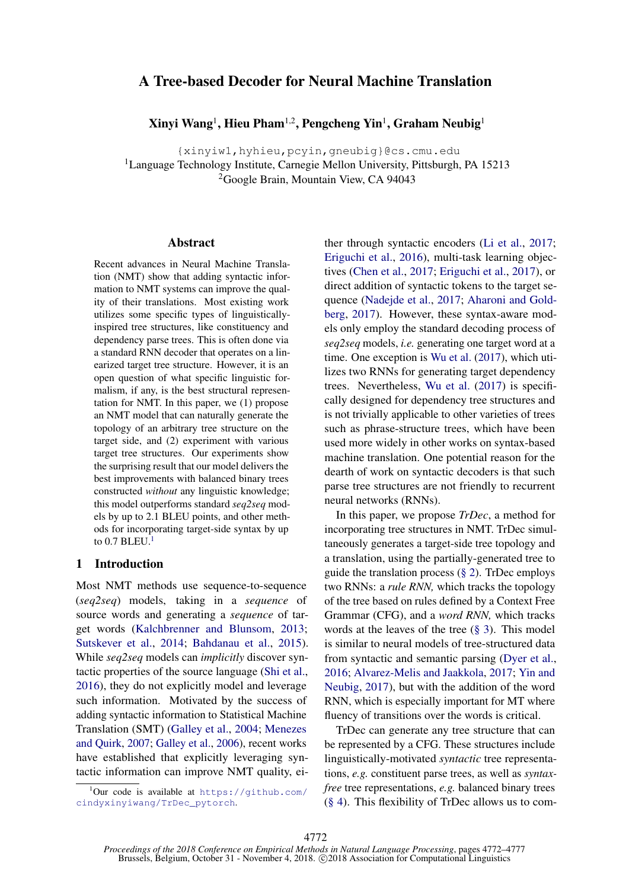# <span id="page-0-1"></span>A Tree-based Decoder for Neural Machine Translation

Xinyi Wang<sup>1</sup>, Hieu Pham<sup>1,2</sup>, Pengcheng Yin<sup>1</sup>, Graham Neubig<sup>1</sup>

{xinyiw1,hyhieu,pcyin,gneubig}@cs.cmu.edu

<sup>1</sup>Language Technology Institute, Carnegie Mellon University, Pittsburgh, PA 15213 <sup>2</sup>Google Brain, Mountain View, CA 94043

### Abstract

Recent advances in Neural Machine Translation (NMT) show that adding syntactic information to NMT systems can improve the quality of their translations. Most existing work utilizes some specific types of linguisticallyinspired tree structures, like constituency and dependency parse trees. This is often done via a standard RNN decoder that operates on a linearized target tree structure. However, it is an open question of what specific linguistic formalism, if any, is the best structural representation for NMT. In this paper, we (1) propose an NMT model that can naturally generate the topology of an arbitrary tree structure on the target side, and (2) experiment with various target tree structures. Our experiments show the surprising result that our model delivers the best improvements with balanced binary trees constructed *without* any linguistic knowledge; this model outperforms standard *seq2seq* models by up to 2.1 BLEU points, and other methods for incorporating target-side syntax by up to  $0.7$  BLEU.<sup>1</sup>

# 1 Introduction

Most NMT methods use sequence-to-sequence (*seq2seq*) models, taking in a *sequence* of source words and generating a *sequence* of target words [\(Kalchbrenner and Blunsom,](#page-5-0) [2013;](#page-5-0) [Sutskever et al.,](#page-5-1) [2014;](#page-5-1) [Bahdanau et al.,](#page-4-0) [2015\)](#page-4-0). While *seq2seq* models can *implicitly* discover syntactic properties of the source language [\(Shi et al.,](#page-5-2) [2016\)](#page-5-2), they do not explicitly model and leverage such information. Motivated by the success of adding syntactic information to Statistical Machine Translation (SMT) [\(Galley et al.,](#page-5-3) [2004;](#page-5-3) [Menezes](#page-5-4) [and Quirk,](#page-5-4) [2007;](#page-5-4) [Galley et al.,](#page-5-5) [2006\)](#page-5-5), recent works have established that explicitly leveraging syntactic information can improve NMT quality, either through syntactic encoders [\(Li et al.,](#page-5-6) [2017;](#page-5-6) [Eriguchi et al.,](#page-4-1) [2016\)](#page-4-1), multi-task learning objectives [\(Chen et al.,](#page-4-2) [2017;](#page-4-2) [Eriguchi et al.,](#page-4-3) [2017\)](#page-4-3), or direct addition of syntactic tokens to the target sequence [\(Nadejde et al.,](#page-5-7) [2017;](#page-5-7) [Aharoni and Gold](#page-4-4)[berg,](#page-4-4) [2017\)](#page-4-4). However, these syntax-aware models only employ the standard decoding process of *seq2seq* models, *i.e.* generating one target word at a time. One exception is [Wu et al.](#page-5-8) [\(2017\)](#page-5-8), which utilizes two RNNs for generating target dependency trees. Nevertheless, [Wu et al.](#page-5-8) [\(2017\)](#page-5-8) is specifically designed for dependency tree structures and is not trivially applicable to other varieties of trees such as phrase-structure trees, which have been used more widely in other works on syntax-based machine translation. One potential reason for the dearth of work on syntactic decoders is that such parse tree structures are not friendly to recurrent neural networks (RNNs).

In this paper, we propose *TrDec*, a method for incorporating tree structures in NMT. TrDec simultaneously generates a target-side tree topology and a translation, using the partially-generated tree to guide the translation process [\(§ 2\)](#page-1-0). TrDec employs two RNNs: a *rule RNN,* which tracks the topology of the tree based on rules defined by a Context Free Grammar (CFG), and a *word RNN,* which tracks words at the leaves of the tree  $(\S 3)$ . This model is similar to neural models of tree-structured data from syntactic and semantic parsing [\(Dyer et al.,](#page-4-5) [2016;](#page-4-5) [Alvarez-Melis and Jaakkola,](#page-4-6) [2017;](#page-4-6) [Yin and](#page-5-9) [Neubig,](#page-5-9) [2017\)](#page-5-9), but with the addition of the word RNN, which is especially important for MT where fluency of transitions over the words is critical.

TrDec can generate any tree structure that can be represented by a CFG. These structures include linguistically-motivated *syntactic* tree representations, *e.g.* constituent parse trees, as well as *syntaxfree* tree representations, *e.g.* balanced binary trees [\(§ 4\)](#page-2-1). This flexibility of TrDec allows us to com-

<span id="page-0-0"></span><sup>1</sup> Our code is available at [https://github.com/](https://github.com/cindyxinyiwang/TrDec_pytorch) [cindyxinyiwang/TrDec\\_pytorch](https://github.com/cindyxinyiwang/TrDec_pytorch).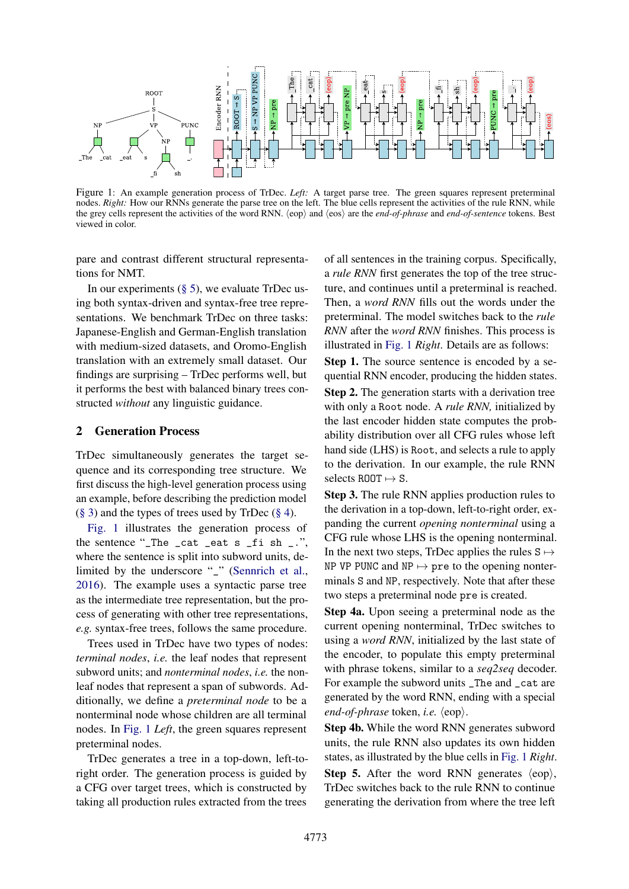<span id="page-1-1"></span>

Figure 1: An example generation process of TrDec. *Left:* A target parse tree. The green squares represent preterminal nodes. *Right:* How our RNNs generate the parse tree on the left. The blue cells represent the activities of the rule RNN, while the grey cells represent the activities of the word RNN. (eop) and (eos) are the *end-of-phrase* and *end-of-sentence* tokens. Best viewed in color.

pare and contrast different structural representations for NMT.

In our experiments  $(\S 5)$ , we evaluate TrDec using both syntax-driven and syntax-free tree representations. We benchmark TrDec on three tasks: Japanese-English and German-English translation with medium-sized datasets, and Oromo-English translation with an extremely small dataset. Our findings are surprising – TrDec performs well, but it performs the best with balanced binary trees constructed *without* any linguistic guidance.

#### <span id="page-1-0"></span>2 Generation Process

TrDec simultaneously generates the target sequence and its corresponding tree structure. We first discuss the high-level generation process using an example, before describing the prediction model  $(\S 3)$  and the types of trees used by TrDec  $(\S 4)$ .

[Fig. 1](#page-1-1) illustrates the generation process of the sentence "\_The \_cat \_eat s \_fi sh \_.", where the sentence is split into subword units, delimited by the underscore "\_" [\(Sennrich et al.,](#page-5-10) [2016\)](#page-5-10). The example uses a syntactic parse tree as the intermediate tree representation, but the process of generating with other tree representations, *e.g.* syntax-free trees, follows the same procedure.

Trees used in TrDec have two types of nodes: *terminal nodes*, *i.e.* the leaf nodes that represent subword units; and *nonterminal nodes*, *i.e.* the nonleaf nodes that represent a span of subwords. Additionally, we define a *preterminal node* to be a nonterminal node whose children are all terminal nodes. In [Fig. 1](#page-1-1) *Left*, the green squares represent preterminal nodes.

TrDec generates a tree in a top-down, left-toright order. The generation process is guided by a CFG over target trees, which is constructed by taking all production rules extracted from the trees of all sentences in the training corpus. Specifically, a *rule RNN* first generates the top of the tree structure, and continues until a preterminal is reached. Then, a *word RNN* fills out the words under the preterminal. The model switches back to the *rule RNN* after the *word RNN* finishes. This process is illustrated in [Fig. 1](#page-1-1) *Right*. Details are as follows:

Step 1. The source sentence is encoded by a sequential RNN encoder, producing the hidden states.

Step 2. The generation starts with a derivation tree with only a Root node. A *rule RNN,* initialized by the last encoder hidden state computes the probability distribution over all CFG rules whose left hand side (LHS) is Root, and selects a rule to apply to the derivation. In our example, the rule RNN selects ROOT  $\mapsto$  S.

Step 3. The rule RNN applies production rules to the derivation in a top-down, left-to-right order, expanding the current *opening nonterminal* using a CFG rule whose LHS is the opening nonterminal. In the next two steps, TrDec applies the rules  $S \mapsto$ NP VP PUNC and  $NP \mapsto pre$  to the opening nonterminals S and NP, respectively. Note that after these two steps a preterminal node pre is created.

Step 4a. Upon seeing a preterminal node as the current opening nonterminal, TrDec switches to using a *word RNN*, initialized by the last state of the encoder, to populate this empty preterminal with phrase tokens, similar to a *seq2seq* decoder. For example the subword units \_The and \_cat are generated by the word RNN, ending with a special *end-of-phrase* token, *i.e.*  $\langle e^{i\phi} \rangle$ .

Step 4b. While the word RNN generates subword units, the rule RNN also updates its own hidden states, as illustrated by the blue cells in [Fig. 1](#page-1-1) *Right*. **Step 5.** After the word RNN generates  $\langle e^{i\phi} \rangle$ , TrDec switches back to the rule RNN to continue generating the derivation from where the tree left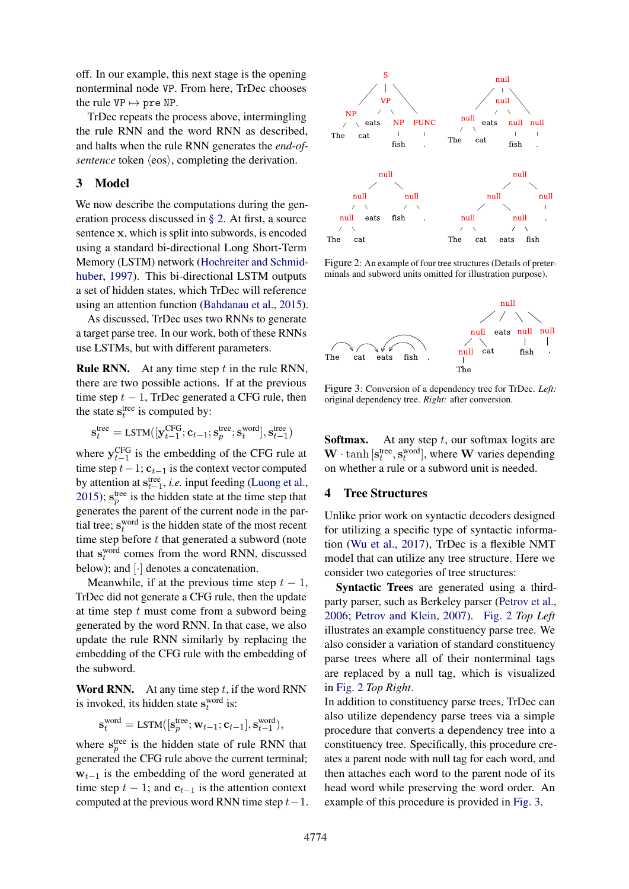off. In our example, this next stage is the opening nonterminal node VP. From here, TrDec chooses the rule  $VP \mapsto pre NP$ .

TrDec repeats the process above, intermingling the rule RNN and the word RNN as described, and halts when the rule RNN generates the *end-ofsentence* token  $\langle \cos \rangle$ , completing the derivation.

### <span id="page-2-0"></span>3 Model

We now describe the computations during the generation process discussed in [§ 2.](#page-1-0) At first, a source sentence x, which is split into subwords, is encoded using a standard bi-directional Long Short-Term Memory (LSTM) network [\(Hochreiter and Schmid](#page-5-11)[huber,](#page-5-11) [1997\)](#page-5-11). This bi-directional LSTM outputs a set of hidden states, which TrDec will reference using an attention function [\(Bahdanau et al.,](#page-4-0) [2015\)](#page-4-0).

As discussed, TrDec uses two RNNs to generate a target parse tree. In our work, both of these RNNs use LSTMs, but with different parameters.

Rule RNN. At any time step *t* in the rule RNN, there are two possible actions. If at the previous time step  $t - 1$ , TrDec generated a CFG rule, then the state  $s_t^{tree}$  is computed by:

$$
\mathbf{s}_{t}^{\text{tree}} = \text{LSTM}([\mathbf{y}_{t-1}^{\text{CFG}}; \mathbf{c}_{t-1}; \mathbf{s}_{p}^{\text{tree}}; \mathbf{s}_{t}^{\text{word}}], \mathbf{s}_{t-1}^{\text{tree}})
$$

where  $y_{t-1}^{\text{CFG}}$  is the embedding of the CFG rule at time step  $t-1$ ;  $\mathbf{c}_{t-1}$  is the context vector computed by attention at  $s_{t-1}^{\text{tree}}$ , *i.e.* input feeding [\(Luong et al.,](#page-5-12) [2015\)](#page-5-12);  $s_p^{\text{tree}}$  is the hidden state at the time step that generates the parent of the current node in the partial tree;  $\mathbf{s}_t^{\text{word}}$  is the hidden state of the most recent time step before *t* that generated a subword (note that  $s_t^{\text{word}}$  comes from the word RNN, discussed below); and [*·*] denotes a concatenation.

Meanwhile, if at the previous time step  $t - 1$ , TrDec did not generate a CFG rule, then the update at time step *t* must come from a subword being generated by the word RNN. In that case, we also update the rule RNN similarly by replacing the embedding of the CFG rule with the embedding of the subword.

Word RNN. At any time step *t*, if the word RNN is invoked, its hidden state  $s_t^{\text{word}}$  is:

$$
\mathbf{s}_{t}^{\text{word}} = \text{LSTM}([\mathbf{s}_{p}^{\text{tree}}; \mathbf{w}_{t-1}; \mathbf{c}_{t-1}], \mathbf{s}_{t-1}^{\text{word}}),
$$

where  $s_p^{\text{tree}}$  is the hidden state of rule RNN that generated the CFG rule above the current terminal;  $w_{t-1}$  is the embedding of the word generated at time step  $t - 1$ ; and  $c_{t-1}$  is the attention context computed at the previous word RNN time step  $t-1$ .

<span id="page-2-2"></span>

Figure 2: An example of four tree structures (Details of preterminals and subword units omitted for illustration purpose).

<span id="page-2-3"></span>

Figure 3: Conversion of a dependency tree for TrDec. *Left:* original dependency tree. *Right:* after conversion.

Softmax. At any step *t*, our softmax logits are  $\mathbf{W} \cdot \tanh\left[\mathbf{s}_t^{\text{tree}}, \mathbf{s}_t^{\text{word}}\right],$  where **W** varies depending on whether a rule or a subword unit is needed.

# <span id="page-2-1"></span>4 Tree Structures

Unlike prior work on syntactic decoders designed for utilizing a specific type of syntactic information [\(Wu et al.,](#page-5-8) [2017\)](#page-5-8), TrDec is a flexible NMT model that can utilize any tree structure. Here we consider two categories of tree structures:

Syntactic Trees are generated using a thirdparty parser, such as Berkeley parser [\(Petrov et al.,](#page-5-13) [2006;](#page-5-13) [Petrov and Klein,](#page-5-14) [2007\)](#page-5-14). [Fig. 2](#page-2-2) *Top Left* illustrates an example constituency parse tree. We also consider a variation of standard constituency parse trees where all of their nonterminal tags are replaced by a null tag, which is visualized in [Fig. 2](#page-2-2) *Top Right*.

In addition to constituency parse trees, TrDec can also utilize dependency parse trees via a simple procedure that converts a dependency tree into a constituency tree. Specifically, this procedure creates a parent node with null tag for each word, and then attaches each word to the parent node of its head word while preserving the word order. An example of this procedure is provided in [Fig. 3.](#page-2-3)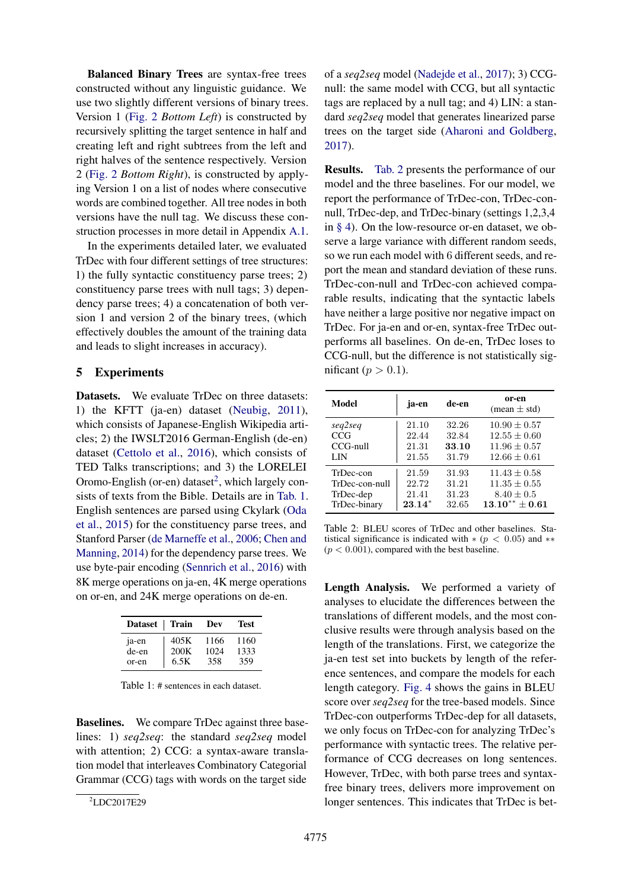Balanced Binary Trees are syntax-free trees constructed without any linguistic guidance. We use two slightly different versions of binary trees. Version 1 [\(Fig. 2](#page-2-2) *Bottom Left*) is constructed by recursively splitting the target sentence in half and creating left and right subtrees from the left and right halves of the sentence respectively. Version 2 [\(Fig. 2](#page-2-2) *Bottom Right*), is constructed by applying Version 1 on a list of nodes where consecutive words are combined together. All tree nodes in both versions have the null tag. We discuss these construction processes in more detail in Appendix [A.1.](#page-0-1)

In the experiments detailed later, we evaluated TrDec with four different settings of tree structures: 1) the fully syntactic constituency parse trees; 2) constituency parse trees with null tags; 3) dependency parse trees; 4) a concatenation of both version 1 and version 2 of the binary trees, (which effectively doubles the amount of the training data and leads to slight increases in accuracy).

## <span id="page-3-0"></span>5 Experiments

Datasets. We evaluate TrDec on three datasets: 1) the KFTT (ja-en) dataset [\(Neubig,](#page-5-15) [2011\)](#page-5-15), which consists of Japanese-English Wikipedia articles; 2) the IWSLT2016 German-English (de-en) dataset [\(Cettolo et al.,](#page-4-7) [2016\)](#page-4-7), which consists of TED Talks transcriptions; and 3) the LORELEI Oromo-English (or-en) dataset<sup>2</sup>, which largely consists of texts from the Bible. Details are in [Tab. 1.](#page-3-2) English sentences are parsed using Ckylark [\(Oda](#page-5-16) [et al.,](#page-5-16) [2015\)](#page-5-16) for the constituency parse trees, and Stanford Parser [\(de Marneffe et al.,](#page-5-17) [2006;](#page-5-17) [Chen and](#page-4-8) [Manning,](#page-4-8) [2014\)](#page-4-8) for the dependency parse trees. We use byte-pair encoding [\(Sennrich et al.,](#page-5-10) [2016\)](#page-5-10) with 8K merge operations on ja-en, 4K merge operations on or-en, and 24K merge operations on de-en.

<span id="page-3-2"></span>

| <b>Dataset</b> | ∣ Train | Dev  | Test |
|----------------|---------|------|------|
| ja-en          | 405K    | 1166 | 1160 |
| de-en          | 200K    | 1024 | 1333 |
| or-en          | 6.5K    | 358  | 359  |

Table  $1 \cdot \#$  sentences in each dataset.

Baselines. We compare TrDec against three baselines: 1) *seq2seq*: the standard *seq2seq* model with attention; 2) CCG: a syntax-aware translation model that interleaves Combinatory Categorial Grammar (CCG) tags with words on the target side

<span id="page-3-1"></span>2 LDC2017E29

of a *seq2seq* model [\(Nadejde et al.,](#page-5-7) [2017\)](#page-5-7); 3) CCGnull: the same model with CCG, but all syntactic tags are replaced by a null tag; and 4) LIN: a standard *seq2seq* model that generates linearized parse trees on the target side [\(Aharoni and Goldberg,](#page-4-4) [2017\)](#page-4-4).

Results. [Tab. 2](#page-3-3) presents the performance of our model and the three baselines. For our model, we report the performance of TrDec-con, TrDec-connull, TrDec-dep, and TrDec-binary (settings 1,2,3,4 in [§ 4\)](#page-2-1). On the low-resource or-en dataset, we observe a large variance with different random seeds, so we run each model with 6 different seeds, and report the mean and standard deviation of these runs. TrDec-con-null and TrDec-con achieved comparable results, indicating that the syntactic labels have neither a large positive nor negative impact on TrDec. For ja-en and or-en, syntax-free TrDec outperforms all baselines. On de-en, TrDec loses to CCG-null, but the difference is not statistically significant ( $p > 0.1$ ).

<span id="page-3-3"></span>

| Model          | ja-en    | de-en | or-en<br>$(mean \pm std)$ |
|----------------|----------|-------|---------------------------|
| seq2seq        | 21.10    | 32.26 | $10.90 \pm 0.57$          |
| CCG            | 22.44    | 32.84 | $12.55 \pm 0.60$          |
| $CCG$ -null    | 21.31    | 33.10 | $11.96 \pm 0.57$          |
| LIN            | 21.55    | 31.79 | $12.66 \pm 0.61$          |
| TrDec-con      | 21.59    | 31.93 | $11.43 \pm 0.58$          |
| TrDec-con-null | 22.72    | 31.21 | $11.35 \pm 0.55$          |
| TrDec-dep      | 21.41    | 31.23 | $8.40 \pm 0.5$            |
| TrDec-binary   | $23.14*$ | 32.65 | $13.10** + 0.61$          |

Table 2: BLEU scores of TrDec and other baselines. Statistical significance is indicated with  $*(p < 0.05)$  and  $**$  $(p < 0.001)$ , compared with the best baseline.

Length Analysis. We performed a variety of analyses to elucidate the differences between the translations of different models, and the most conclusive results were through analysis based on the length of the translations. First, we categorize the ja-en test set into buckets by length of the reference sentences, and compare the models for each length category. [Fig. 4](#page-4-9) shows the gains in BLEU score over *seq2seq* for the tree-based models. Since TrDec-con outperforms TrDec-dep for all datasets, we only focus on TrDec-con for analyzing TrDec's performance with syntactic trees. The relative performance of CCG decreases on long sentences. However, TrDec, with both parse trees and syntaxfree binary trees, delivers more improvement on longer sentences. This indicates that TrDec is bet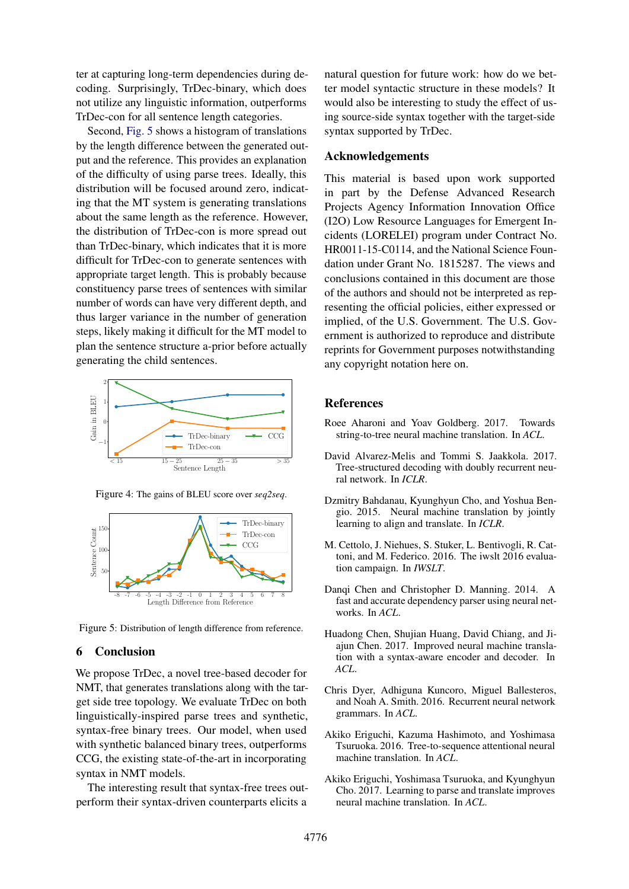ter at capturing long-term dependencies during decoding. Surprisingly, TrDec-binary, which does not utilize any linguistic information, outperforms TrDec-con for all sentence length categories.

Second, [Fig. 5](#page-4-10) shows a histogram of translations by the length difference between the generated output and the reference. This provides an explanation of the difficulty of using parse trees. Ideally, this distribution will be focused around zero, indicating that the MT system is generating translations about the same length as the reference. However, the distribution of TrDec-con is more spread out than TrDec-binary, which indicates that it is more difficult for TrDec-con to generate sentences with appropriate target length. This is probably because constituency parse trees of sentences with similar number of words can have very different depth, and thus larger variance in the number of generation steps, likely making it difficult for the MT model to plan the sentence structure a-prior before actually generating the child sentences.





<span id="page-4-9"></span>Figure 4: The gains of BLEU score over *seq2seq*.

<span id="page-4-10"></span>Figure 5: Distribution of length difference from reference.

#### 6 Conclusion

We propose TrDec, a novel tree-based decoder for NMT, that generates translations along with the target side tree topology. We evaluate TrDec on both linguistically-inspired parse trees and synthetic, syntax-free binary trees. Our model, when used with synthetic balanced binary trees, outperforms CCG, the existing state-of-the-art in incorporating syntax in NMT models.

The interesting result that syntax-free trees outperform their syntax-driven counterparts elicits a

natural question for future work: how do we better model syntactic structure in these models? It would also be interesting to study the effect of using source-side syntax together with the target-side syntax supported by TrDec.

### Acknowledgements

This material is based upon work supported in part by the Defense Advanced Research Projects Agency Information Innovation Office (I2O) Low Resource Languages for Emergent Incidents (LORELEI) program under Contract No. HR0011-15-C0114, and the National Science Foundation under Grant No. 1815287. The views and conclusions contained in this document are those of the authors and should not be interpreted as representing the official policies, either expressed or implied, of the U.S. Government. The U.S. Government is authorized to reproduce and distribute reprints for Government purposes notwithstanding any copyright notation here on.

#### References

- <span id="page-4-4"></span>Roee Aharoni and Yoav Goldberg. 2017. Towards string-to-tree neural machine translation. In *ACL*.
- <span id="page-4-6"></span>David Alvarez-Melis and Tommi S. Jaakkola. 2017. Tree-structured decoding with doubly recurrent neural network. In *ICLR*.
- <span id="page-4-0"></span>Dzmitry Bahdanau, Kyunghyun Cho, and Yoshua Bengio. 2015. Neural machine translation by jointly learning to align and translate. In *ICLR*.
- <span id="page-4-7"></span>M. Cettolo, J. Niehues, S. Stuker, L. Bentivogli, R. Cattoni, and M. Federico. 2016. The iwslt 2016 evaluation campaign. In *IWSLT*.
- <span id="page-4-8"></span>Danqi Chen and Christopher D. Manning. 2014. A fast and accurate dependency parser using neural networks. In *ACL*.
- <span id="page-4-2"></span>Huadong Chen, Shujian Huang, David Chiang, and Jiajun Chen. 2017. Improved neural machine translation with a syntax-aware encoder and decoder. In *ACL*.
- <span id="page-4-5"></span>Chris Dyer, Adhiguna Kuncoro, Miguel Ballesteros, and Noah A. Smith. 2016. Recurrent neural network grammars. In *ACL*.
- <span id="page-4-1"></span>Akiko Eriguchi, Kazuma Hashimoto, and Yoshimasa Tsuruoka. 2016. Tree-to-sequence attentional neural machine translation. In *ACL*.
- <span id="page-4-3"></span>Akiko Eriguchi, Yoshimasa Tsuruoka, and Kyunghyun Cho. 2017. Learning to parse and translate improves neural machine translation. In *ACL*.